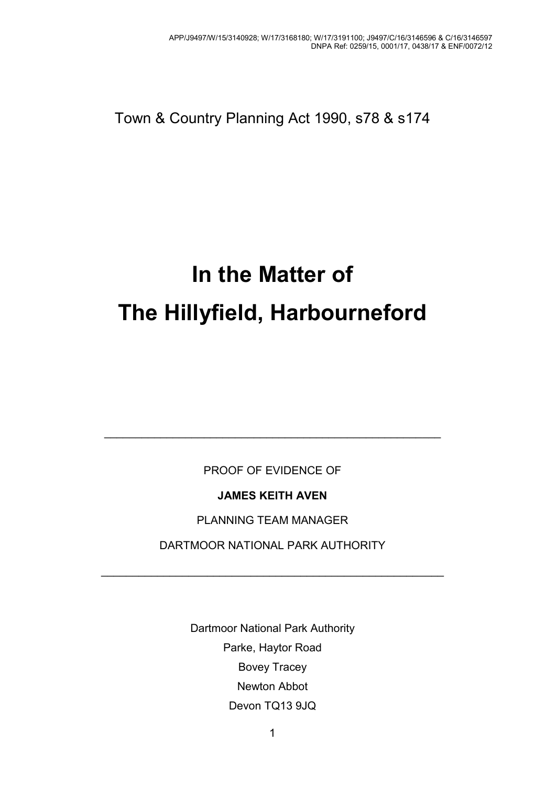Town & Country Planning Act 1990, s78 & s174

# **In the Matter of The Hillyfield, Harbourneford**

PROOF OF EVIDENCE OF

\_\_\_\_\_\_\_\_\_\_\_\_\_\_\_\_\_\_\_\_\_\_\_\_\_\_\_\_\_\_\_\_\_\_\_\_\_\_\_\_\_\_\_\_\_\_\_\_\_\_\_\_\_\_

**JAMES KEITH AVEN** 

PLANNING TEAM MANAGER

DARTMOOR NATIONAL PARK AUTHORITY

\_\_\_\_\_\_\_\_\_\_\_\_\_\_\_\_\_\_\_\_\_\_\_\_\_\_\_\_\_\_\_\_\_\_\_\_\_\_\_\_\_\_\_\_\_\_\_\_\_\_\_\_\_\_\_

Dartmoor National Park Authority Parke, Haytor Road Bovey Tracey Newton Abbot Devon TQ13 9JQ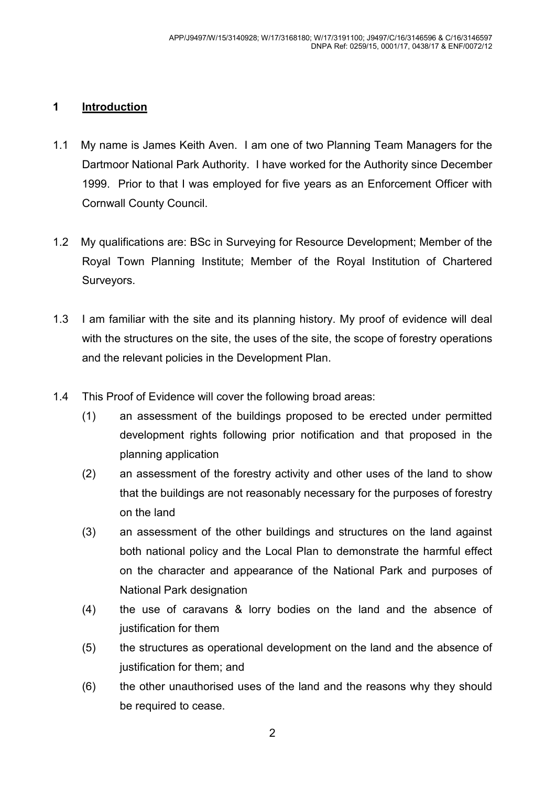#### **1 Introduction**

- 1.1 My name is James Keith Aven. I am one of two Planning Team Managers for the Dartmoor National Park Authority. I have worked for the Authority since December 1999. Prior to that I was employed for five years as an Enforcement Officer with Cornwall County Council.
- 1.2 My qualifications are: BSc in Surveying for Resource Development; Member of the Royal Town Planning Institute; Member of the Royal Institution of Chartered Surveyors.
- 1.3 I am familiar with the site and its planning history. My proof of evidence will deal with the structures on the site, the uses of the site, the scope of forestry operations and the relevant policies in the Development Plan.
- 1.4 This Proof of Evidence will cover the following broad areas:
	- (1) an assessment of the buildings proposed to be erected under permitted development rights following prior notification and that proposed in the planning application
	- (2) an assessment of the forestry activity and other uses of the land to show that the buildings are not reasonably necessary for the purposes of forestry on the land
	- (3) an assessment of the other buildings and structures on the land against both national policy and the Local Plan to demonstrate the harmful effect on the character and appearance of the National Park and purposes of National Park designation
	- (4) the use of caravans & lorry bodies on the land and the absence of justification for them
	- (5) the structures as operational development on the land and the absence of justification for them; and
	- (6) the other unauthorised uses of the land and the reasons why they should be required to cease.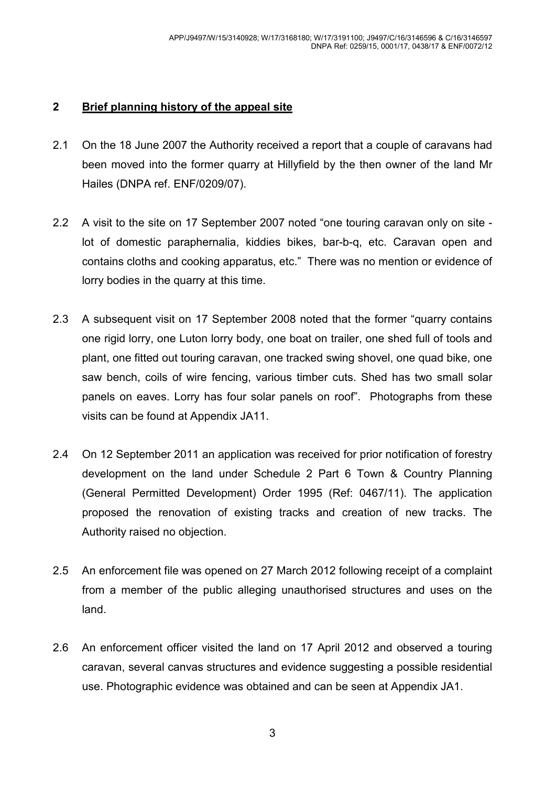#### **2 Brief planning history of the appeal site**

- 2.1 On the 18 June 2007 the Authority received a report that a couple of caravans had been moved into the former quarry at Hillyfield by the then owner of the land Mr Hailes (DNPA ref. ENF/0209/07).
- 2.2 A visit to the site on 17 September 2007 noted "one touring caravan only on site lot of domestic paraphernalia, kiddies bikes, bar-b-q, etc. Caravan open and contains cloths and cooking apparatus, etc." There was no mention or evidence of lorry bodies in the quarry at this time.
- 2.3 A subsequent visit on 17 September 2008 noted that the former "quarry contains one rigid lorry, one Luton lorry body, one boat on trailer, one shed full of tools and plant, one fitted out touring caravan, one tracked swing shovel, one quad bike, one saw bench, coils of wire fencing, various timber cuts. Shed has two small solar panels on eaves. Lorry has four solar panels on roof". Photographs from these visits can be found at Appendix JA11.
- 2.4 On 12 September 2011 an application was received for prior notification of forestry development on the land under Schedule 2 Part 6 Town & Country Planning (General Permitted Development) Order 1995 (Ref: 0467/11). The application proposed the renovation of existing tracks and creation of new tracks. The Authority raised no objection.
- 2.5 An enforcement file was opened on 27 March 2012 following receipt of a complaint from a member of the public alleging unauthorised structures and uses on the land.
- 2.6 An enforcement officer visited the land on 17 April 2012 and observed a touring caravan, several canvas structures and evidence suggesting a possible residential use. Photographic evidence was obtained and can be seen at Appendix JA1.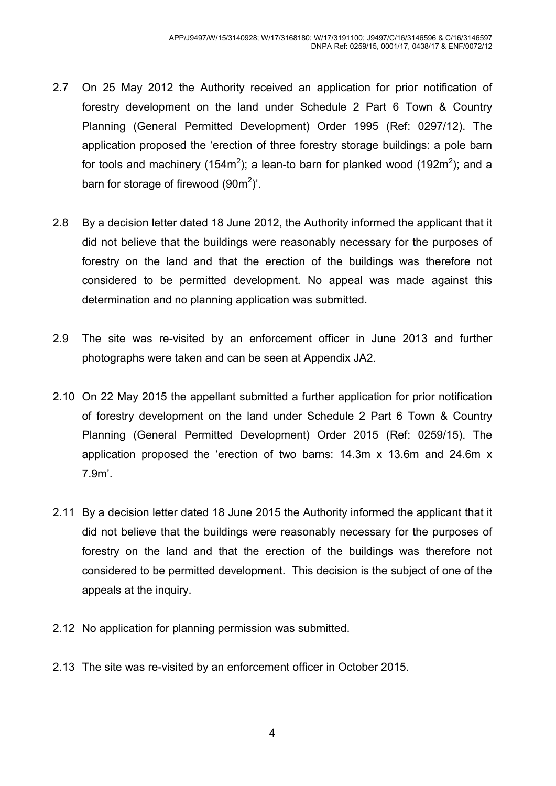- 2.7 On 25 May 2012 the Authority received an application for prior notification of forestry development on the land under Schedule 2 Part 6 Town & Country Planning (General Permitted Development) Order 1995 (Ref: 0297/12). The application proposed the 'erection of three forestry storage buildings: a pole barn for tools and machinery (154m<sup>2</sup>); a lean-to barn for planked wood (192m<sup>2</sup>); and a barn for storage of firewood  $(90m^2)$ .
- 2.8 By a decision letter dated 18 June 2012, the Authority informed the applicant that it did not believe that the buildings were reasonably necessary for the purposes of forestry on the land and that the erection of the buildings was therefore not considered to be permitted development. No appeal was made against this determination and no planning application was submitted.
- 2.9 The site was re-visited by an enforcement officer in June 2013 and further photographs were taken and can be seen at Appendix JA2.
- 2.10 On 22 May 2015 the appellant submitted a further application for prior notification of forestry development on the land under Schedule 2 Part 6 Town & Country Planning (General Permitted Development) Order 2015 (Ref: 0259/15). The application proposed the 'erection of two barns: 14.3m x 13.6m and 24.6m x 7.9m'.
- 2.11 By a decision letter dated 18 June 2015 the Authority informed the applicant that it did not believe that the buildings were reasonably necessary for the purposes of forestry on the land and that the erection of the buildings was therefore not considered to be permitted development. This decision is the subject of one of the appeals at the inquiry.
- 2.12 No application for planning permission was submitted.
- 2.13 The site was re-visited by an enforcement officer in October 2015.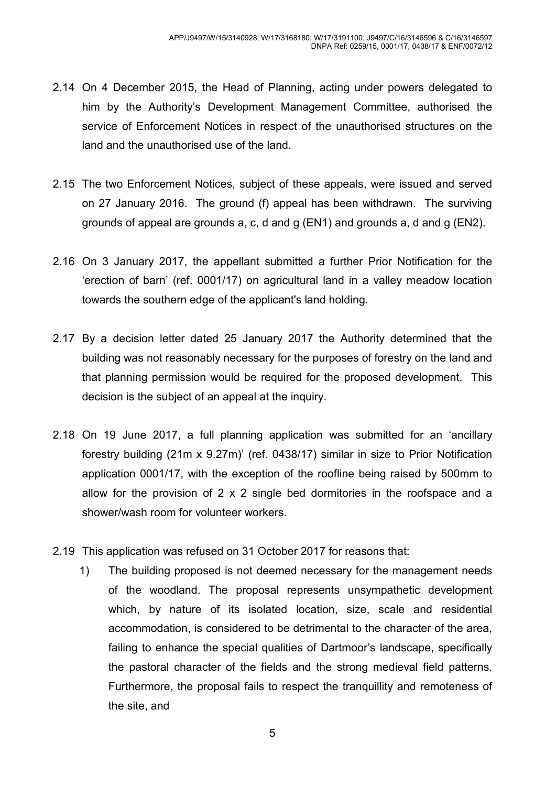- 2.14 On 4 December 2015, the Head of Planning, acting under powers delegated to him by the Authority's Development Management Committee, authorised the service of Enforcement Notices in respect of the unauthorised structures on the land and the unauthorised use of the land.
- 2.15 The two Enforcement Notices, subject of these appeals, were issued and served on 27 January 2016. The ground (f) appeal has been withdrawn. The surviving grounds of appeal are grounds a, c, d and g (EN1) and grounds a, d and g (EN2).
- 2.16 On 3 January 2017, the appellant submitted a further Prior Notification for the 'erection of barn' (ref. 0001/17) on agricultural land in a valley meadow location towards the southern edge of the applicant's land holding.
- 2.17 By a decision letter dated 25 January 2017 the Authority determined that the building was not reasonably necessary for the purposes of forestry on the land and that planning permission would be required for the proposed development. This decision is the subject of an appeal at the inquiry.
- 2.18 On 19 June 2017, a full planning application was submitted for an 'ancillary forestry building (21m x 9.27m)' (ref. 0438/17) similar in size to Prior Notification application 0001/17, with the exception of the roofline being raised by 500mm to allow for the provision of 2 x 2 single bed dormitories in the roofspace and a shower/wash room for volunteer workers.
- 2.19 This application was refused on 31 October 2017 for reasons that:
	- 1) The building proposed is not deemed necessary for the management needs of the woodland. The proposal represents unsympathetic development which, by nature of its isolated location, size, scale and residential accommodation, is considered to be detrimental to the character of the area, failing to enhance the special qualities of Dartmoor's landscape, specifically the pastoral character of the fields and the strong medieval field patterns. Furthermore, the proposal fails to respect the tranquillity and remoteness of the site, and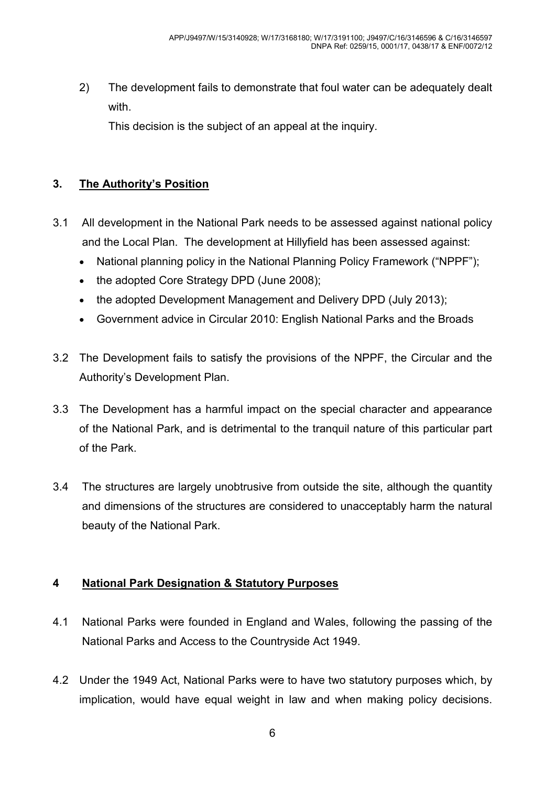2) The development fails to demonstrate that foul water can be adequately dealt with.

This decision is the subject of an appeal at the inquiry.

# **3. The Authority's Position**

- 3.1 All development in the National Park needs to be assessed against national policy and the Local Plan. The development at Hillyfield has been assessed against:
	- National planning policy in the National Planning Policy Framework ("NPPF");
	- the adopted Core Strategy DPD (June 2008);
	- the adopted Development Management and Delivery DPD (July 2013);
	- Government advice in Circular 2010: English National Parks and the Broads
- 3.2 The Development fails to satisfy the provisions of the NPPF, the Circular and the Authority's Development Plan.
- 3.3 The Development has a harmful impact on the special character and appearance of the National Park, and is detrimental to the tranquil nature of this particular part of the Park.
- 3.4 The structures are largely unobtrusive from outside the site, although the quantity and dimensions of the structures are considered to unacceptably harm the natural beauty of the National Park.

## **4 National Park Designation & Statutory Purposes**

- 4.1 National Parks were founded in England and Wales, following the passing of the National Parks and Access to the Countryside Act 1949.
- 4.2 Under the 1949 Act, National Parks were to have two statutory purposes which, by implication, would have equal weight in law and when making policy decisions.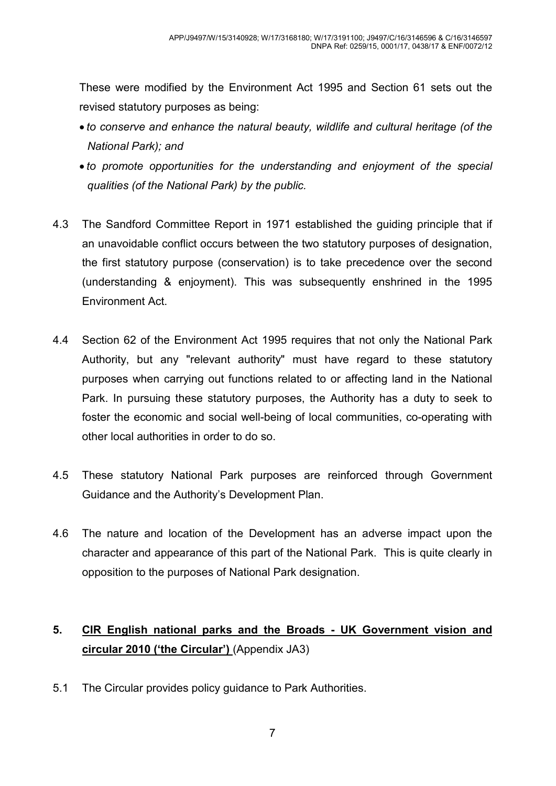These were modified by the Environment Act 1995 and Section 61 sets out the revised statutory purposes as being:

- *to conserve and enhance the natural beauty, wildlife and cultural heritage (of the National Park); and*
- *to promote opportunities for the understanding and enjoyment of the special qualities (of the National Park) by the public.*
- 4.3 The Sandford Committee Report in 1971 established the guiding principle that if an unavoidable conflict occurs between the two statutory purposes of designation, the first statutory purpose (conservation) is to take precedence over the second (understanding & enjoyment). This was subsequently enshrined in the 1995 Environment Act.
- 4.4 Section 62 of the Environment Act 1995 requires that not only the National Park Authority, but any "relevant authority" must have regard to these statutory purposes when carrying out functions related to or affecting land in the National Park. In pursuing these statutory purposes, the Authority has a duty to seek to foster the economic and social well-being of local communities, co-operating with other local authorities in order to do so.
- 4.5 These statutory National Park purposes are reinforced through Government Guidance and the Authority's Development Plan.
- 4.6 The nature and location of the Development has an adverse impact upon the character and appearance of this part of the National Park. This is quite clearly in opposition to the purposes of National Park designation.

# **5. CIR English national parks and the Broads - UK Government vision and circular 2010 ('the Circular')** (Appendix JA3)

5.1 The Circular provides policy guidance to Park Authorities.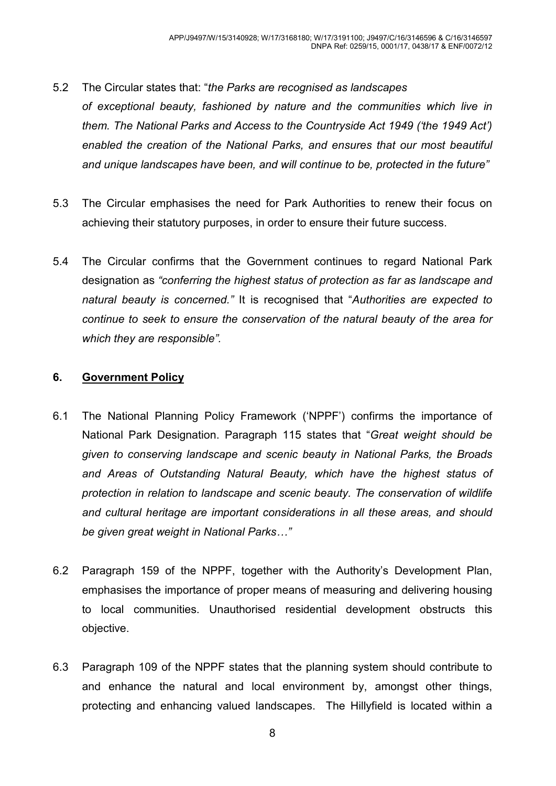- 5.2 The Circular states that: "*the Parks are recognised as landscapes of exceptional beauty, fashioned by nature and the communities which live in them. The National Parks and Access to the Countryside Act 1949 ('the 1949 Act') enabled the creation of the National Parks, and ensures that our most beautiful and unique landscapes have been, and will continue to be, protected in the future"*
- 5.3 The Circular emphasises the need for Park Authorities to renew their focus on achieving their statutory purposes, in order to ensure their future success.
- 5.4 The Circular confirms that the Government continues to regard National Park designation as *"conferring the highest status of protection as far as landscape and natural beauty is concerned."* It is recognised that "*Authorities are expected to continue to seek to ensure the conservation of the natural beauty of the area for which they are responsible".*

#### **6. Government Policy**

- 6.1 The National Planning Policy Framework ('NPPF') confirms the importance of National Park Designation. Paragraph 115 states that "*Great weight should be given to conserving landscape and scenic beauty in National Parks, the Broads and Areas of Outstanding Natural Beauty, which have the highest status of protection in relation to landscape and scenic beauty. The conservation of wildlife and cultural heritage are important considerations in all these areas, and should*  be given great weight in National Parks..."
- 6.2 Paragraph 159 of the NPPF, together with the Authority's Development Plan, emphasises the importance of proper means of measuring and delivering housing to local communities. Unauthorised residential development obstructs this objective.
- 6.3 Paragraph 109 of the NPPF states that the planning system should contribute to and enhance the natural and local environment by, amongst other things, protecting and enhancing valued landscapes. The Hillyfield is located within a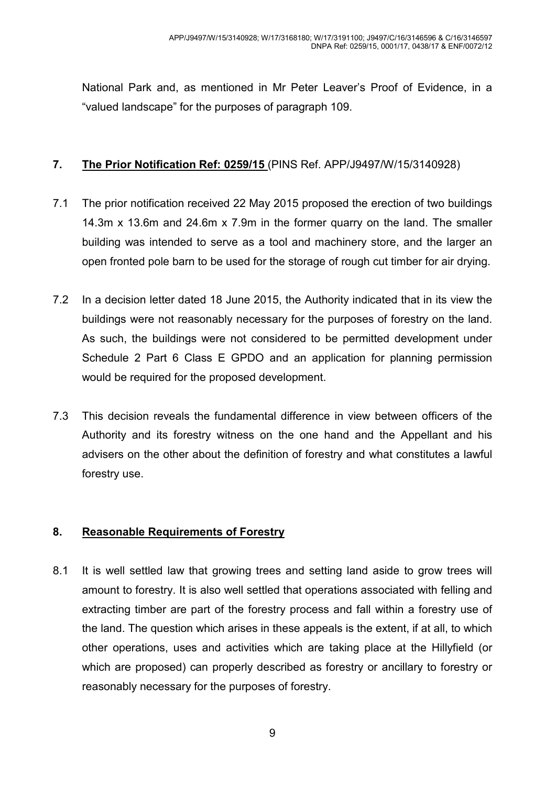National Park and, as mentioned in Mr Peter Leaver's Proof of Evidence, in a "valued landscape" for the purposes of paragraph 109.

#### **7. The Prior Notification Ref: 0259/15** (PINS Ref. APP/J9497/W/15/3140928)

- 7.1 The prior notification received 22 May 2015 proposed the erection of two buildings 14.3m x 13.6m and 24.6m x 7.9m in the former quarry on the land. The smaller building was intended to serve as a tool and machinery store, and the larger an open fronted pole barn to be used for the storage of rough cut timber for air drying.
- 7.2 In a decision letter dated 18 June 2015, the Authority indicated that in its view the buildings were not reasonably necessary for the purposes of forestry on the land. As such, the buildings were not considered to be permitted development under Schedule 2 Part 6 Class E GPDO and an application for planning permission would be required for the proposed development.
- 7.3 This decision reveals the fundamental difference in view between officers of the Authority and its forestry witness on the one hand and the Appellant and his advisers on the other about the definition of forestry and what constitutes a lawful forestry use.

## **8. Reasonable Requirements of Forestry**

8.1 It is well settled law that growing trees and setting land aside to grow trees will amount to forestry. It is also well settled that operations associated with felling and extracting timber are part of the forestry process and fall within a forestry use of the land. The question which arises in these appeals is the extent, if at all, to which other operations, uses and activities which are taking place at the Hillyfield (or which are proposed) can properly described as forestry or ancillary to forestry or reasonably necessary for the purposes of forestry.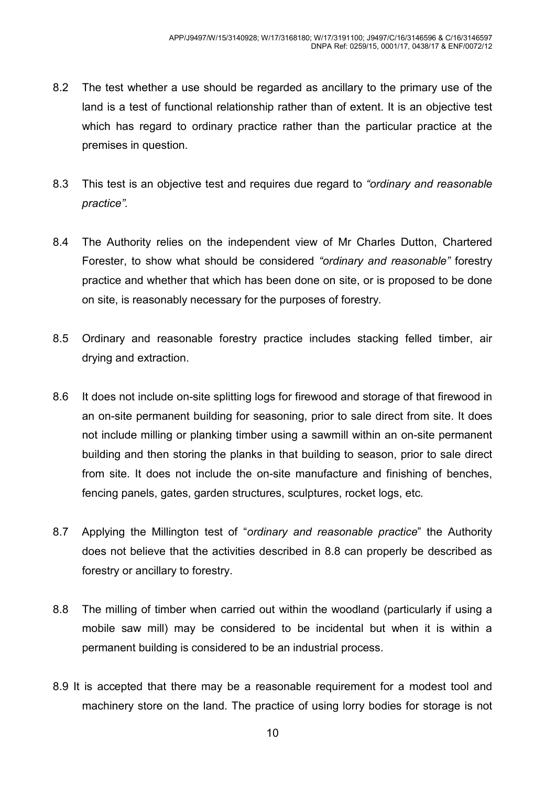- 8.2 The test whether a use should be regarded as ancillary to the primary use of the land is a test of functional relationship rather than of extent. It is an objective test which has regard to ordinary practice rather than the particular practice at the premises in question.
- 8.3 This test is an objective test and requires due regard to *"ordinary and reasonable practice".*
- 8.4 The Authority relies on the independent view of Mr Charles Dutton, Chartered Forester, to show what should be considered *"ordinary and reasonable"* forestry practice and whether that which has been done on site, or is proposed to be done on site, is reasonably necessary for the purposes of forestry*.*
- 8.5 Ordinary and reasonable forestry practice includes stacking felled timber, air drying and extraction.
- 8.6 It does not include on-site splitting logs for firewood and storage of that firewood in an on-site permanent building for seasoning, prior to sale direct from site. It does not include milling or planking timber using a sawmill within an on-site permanent building and then storing the planks in that building to season, prior to sale direct from site. It does not include the on-site manufacture and finishing of benches, fencing panels, gates, garden structures, sculptures, rocket logs, etc.
- 8.7 Applying the Millington test of "*ordinary and reasonable practice*" the Authority does not believe that the activities described in 8.8 can properly be described as forestry or ancillary to forestry.
- 8.8 The milling of timber when carried out within the woodland (particularly if using a mobile saw mill) may be considered to be incidental but when it is within a permanent building is considered to be an industrial process.
- 8.9 It is accepted that there may be a reasonable requirement for a modest tool and machinery store on the land. The practice of using lorry bodies for storage is not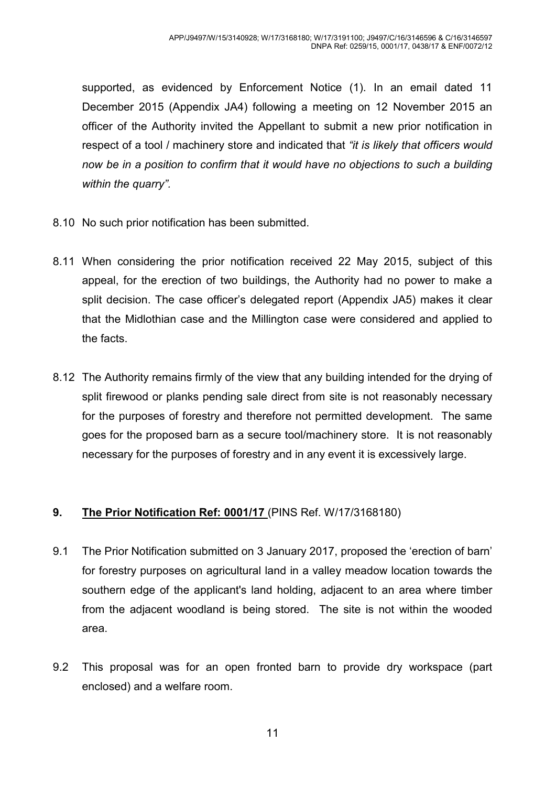supported, as evidenced by Enforcement Notice (1). In an email dated 11 December 2015 (Appendix JA4) following a meeting on 12 November 2015 an officer of the Authority invited the Appellant to submit a new prior notification in respect of a tool / machinery store and indicated that *"it is likely that officers would now be in a position to confirm that it would have no objections to such a building within the quarry".* 

- 8.10 No such prior notification has been submitted.
- 8.11 When considering the prior notification received 22 May 2015, subject of this appeal, for the erection of two buildings, the Authority had no power to make a split decision. The case officer's delegated report (Appendix JA5) makes it clear that the Midlothian case and the Millington case were considered and applied to the facts.
- 8.12 The Authority remains firmly of the view that any building intended for the drying of split firewood or planks pending sale direct from site is not reasonably necessary for the purposes of forestry and therefore not permitted development. The same goes for the proposed barn as a secure tool/machinery store. It is not reasonably necessary for the purposes of forestry and in any event it is excessively large.

#### **9. The Prior Notification Ref: 0001/17** (PINS Ref. W/17/3168180)

- 9.1 The Prior Notification submitted on 3 January 2017, proposed the 'erection of barn' for forestry purposes on agricultural land in a valley meadow location towards the southern edge of the applicant's land holding, adjacent to an area where timber from the adjacent woodland is being stored. The site is not within the wooded area.
- 9.2 This proposal was for an open fronted barn to provide dry workspace (part enclosed) and a welfare room.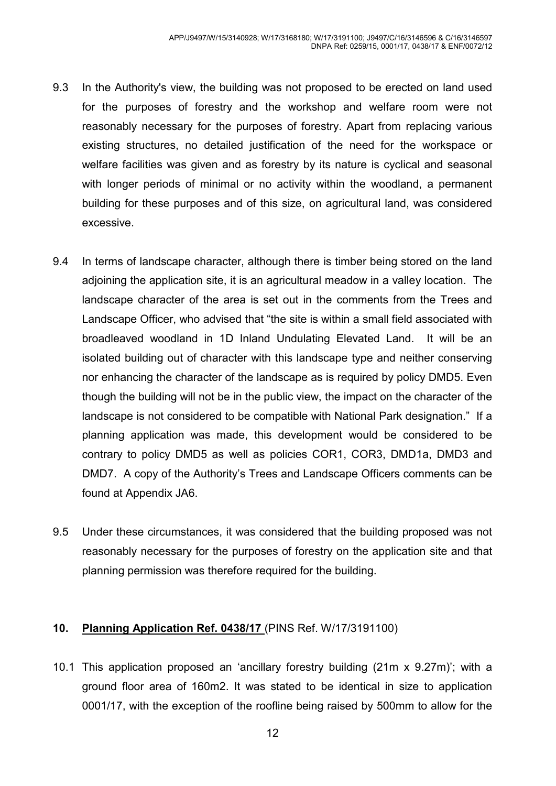- 9.3 In the Authority's view, the building was not proposed to be erected on land used for the purposes of forestry and the workshop and welfare room were not reasonably necessary for the purposes of forestry. Apart from replacing various existing structures, no detailed justification of the need for the workspace or welfare facilities was given and as forestry by its nature is cyclical and seasonal with longer periods of minimal or no activity within the woodland, a permanent building for these purposes and of this size, on agricultural land, was considered excessive.
- 9.4 In terms of landscape character, although there is timber being stored on the land adjoining the application site, it is an agricultural meadow in a valley location. The landscape character of the area is set out in the comments from the Trees and Landscape Officer, who advised that "the site is within a small field associated with broadleaved woodland in 1D Inland Undulating Elevated Land. It will be an isolated building out of character with this landscape type and neither conserving nor enhancing the character of the landscape as is required by policy DMD5. Even though the building will not be in the public view, the impact on the character of the landscape is not considered to be compatible with National Park designation." If a planning application was made, this development would be considered to be contrary to policy DMD5 as well as policies COR1, COR3, DMD1a, DMD3 and DMD7. A copy of the Authority's Trees and Landscape Officers comments can be found at Appendix JA6.
- 9.5 Under these circumstances, it was considered that the building proposed was not reasonably necessary for the purposes of forestry on the application site and that planning permission was therefore required for the building.

#### **10. Planning Application Ref. 0438/17** (PINS Ref. W/17/3191100)

10.1 This application proposed an 'ancillary forestry building (21m x 9.27m)'; with a ground floor area of 160m2. It was stated to be identical in size to application 0001/17, with the exception of the roofline being raised by 500mm to allow for the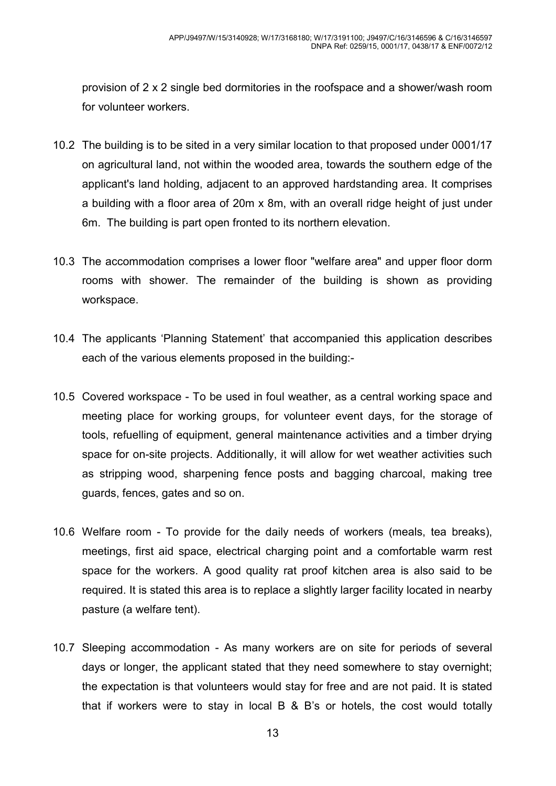provision of 2 x 2 single bed dormitories in the roofspace and a shower/wash room for volunteer workers.

- 10.2 The building is to be sited in a very similar location to that proposed under 0001/17 on agricultural land, not within the wooded area, towards the southern edge of the applicant's land holding, adjacent to an approved hardstanding area. It comprises a building with a floor area of 20m x 8m, with an overall ridge height of just under 6m. The building is part open fronted to its northern elevation.
- 10.3 The accommodation comprises a lower floor "welfare area" and upper floor dorm rooms with shower. The remainder of the building is shown as providing workspace.
- 10.4 The applicants 'Planning Statement' that accompanied this application describes each of the various elements proposed in the building:-
- 10.5 Covered workspace To be used in foul weather, as a central working space and meeting place for working groups, for volunteer event days, for the storage of tools, refuelling of equipment, general maintenance activities and a timber drying space for on-site projects. Additionally, it will allow for wet weather activities such as stripping wood, sharpening fence posts and bagging charcoal, making tree guards, fences, gates and so on.
- 10.6 Welfare room To provide for the daily needs of workers (meals, tea breaks), meetings, first aid space, electrical charging point and a comfortable warm rest space for the workers. A good quality rat proof kitchen area is also said to be required. It is stated this area is to replace a slightly larger facility located in nearby pasture (a welfare tent).
- 10.7 Sleeping accommodation As many workers are on site for periods of several days or longer, the applicant stated that they need somewhere to stay overnight; the expectation is that volunteers would stay for free and are not paid. It is stated that if workers were to stay in local B & B's or hotels, the cost would totally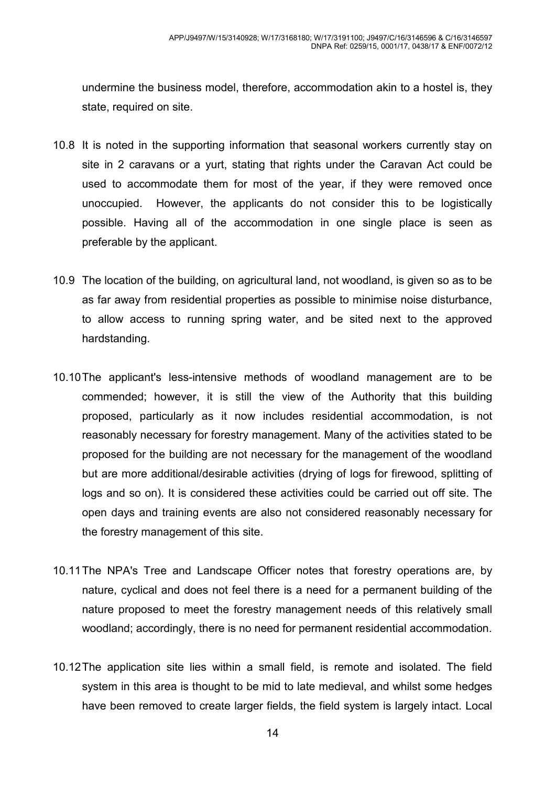undermine the business model, therefore, accommodation akin to a hostel is, they state, required on site.

- 10.8 It is noted in the supporting information that seasonal workers currently stay on site in 2 caravans or a yurt, stating that rights under the Caravan Act could be used to accommodate them for most of the year, if they were removed once unoccupied. However, the applicants do not consider this to be logistically possible. Having all of the accommodation in one single place is seen as preferable by the applicant.
- 10.9 The location of the building, on agricultural land, not woodland, is given so as to be as far away from residential properties as possible to minimise noise disturbance, to allow access to running spring water, and be sited next to the approved hardstanding.
- 10.10 The applicant's less-intensive methods of woodland management are to be commended; however, it is still the view of the Authority that this building proposed, particularly as it now includes residential accommodation, is not reasonably necessary for forestry management. Many of the activities stated to be proposed for the building are not necessary for the management of the woodland but are more additional/desirable activities (drying of logs for firewood, splitting of logs and so on). It is considered these activities could be carried out off site. The open days and training events are also not considered reasonably necessary for the forestry management of this site.
- 10.11 The NPA's Tree and Landscape Officer notes that forestry operations are, by nature, cyclical and does not feel there is a need for a permanent building of the nature proposed to meet the forestry management needs of this relatively small woodland; accordingly, there is no need for permanent residential accommodation.
- 10.12 The application site lies within a small field, is remote and isolated. The field system in this area is thought to be mid to late medieval, and whilst some hedges have been removed to create larger fields, the field system is largely intact. Local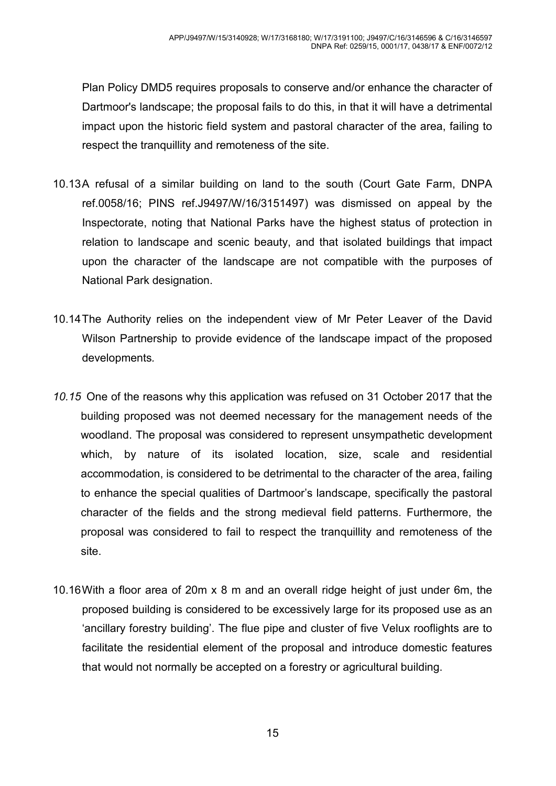Plan Policy DMD5 requires proposals to conserve and/or enhance the character of Dartmoor's landscape; the proposal fails to do this, in that it will have a detrimental impact upon the historic field system and pastoral character of the area, failing to respect the tranquillity and remoteness of the site.

- 10.13A refusal of a similar building on land to the south (Court Gate Farm, DNPA ref.0058/16; PINS ref.J9497/W/16/3151497) was dismissed on appeal by the Inspectorate, noting that National Parks have the highest status of protection in relation to landscape and scenic beauty, and that isolated buildings that impact upon the character of the landscape are not compatible with the purposes of National Park designation.
- 10.14 The Authority relies on the independent view of Mr Peter Leaver of the David Wilson Partnership to provide evidence of the landscape impact of the proposed developments*.*
- *10.15* One of the reasons why this application was refused on 31 October 2017 that the building proposed was not deemed necessary for the management needs of the woodland. The proposal was considered to represent unsympathetic development which, by nature of its isolated location, size, scale and residential accommodation, is considered to be detrimental to the character of the area, failing to enhance the special qualities of Dartmoor's landscape, specifically the pastoral character of the fields and the strong medieval field patterns. Furthermore, the proposal was considered to fail to respect the tranquillity and remoteness of the site.
- 10.16 With a floor area of 20m x 8 m and an overall ridge height of just under 6m, the proposed building is considered to be excessively large for its proposed use as an 'ancillary forestry building'. The flue pipe and cluster of five Velux rooflights are to facilitate the residential element of the proposal and introduce domestic features that would not normally be accepted on a forestry or agricultural building.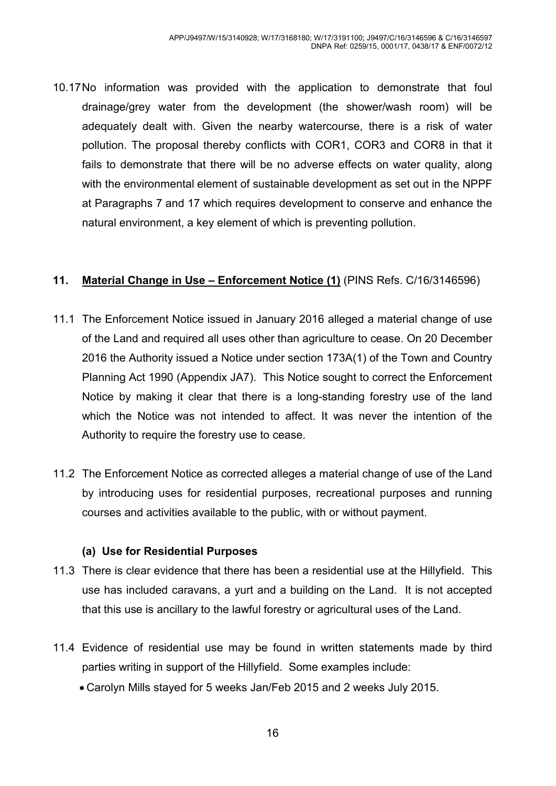10.17 No information was provided with the application to demonstrate that foul drainage/grey water from the development (the shower/wash room) will be adequately dealt with. Given the nearby watercourse, there is a risk of water pollution. The proposal thereby conflicts with COR1, COR3 and COR8 in that it fails to demonstrate that there will be no adverse effects on water quality, along with the environmental element of sustainable development as set out in the NPPF at Paragraphs 7 and 17 which requires development to conserve and enhance the natural environment, a key element of which is preventing pollution.

#### **11. Material Change in Use – Enforcement Notice (1)** (PINS Refs. C/16/3146596)

- 11.1 The Enforcement Notice issued in January 2016 alleged a material change of use of the Land and required all uses other than agriculture to cease. On 20 December 2016 the Authority issued a Notice under section 173A(1) of the Town and Country Planning Act 1990 (Appendix JA7). This Notice sought to correct the Enforcement Notice by making it clear that there is a long-standing forestry use of the land which the Notice was not intended to affect. It was never the intention of the Authority to require the forestry use to cease.
- 11.2 The Enforcement Notice as corrected alleges a material change of use of the Land by introducing uses for residential purposes, recreational purposes and running courses and activities available to the public, with or without payment.

#### **(a) Use for Residential Purposes**

- 11.3 There is clear evidence that there has been a residential use at the Hillyfield. This use has included caravans, a yurt and a building on the Land. It is not accepted that this use is ancillary to the lawful forestry or agricultural uses of the Land.
- 11.4 Evidence of residential use may be found in written statements made by third parties writing in support of the Hillyfield. Some examples include:
	- Carolyn Mills stayed for 5 weeks Jan/Feb 2015 and 2 weeks July 2015.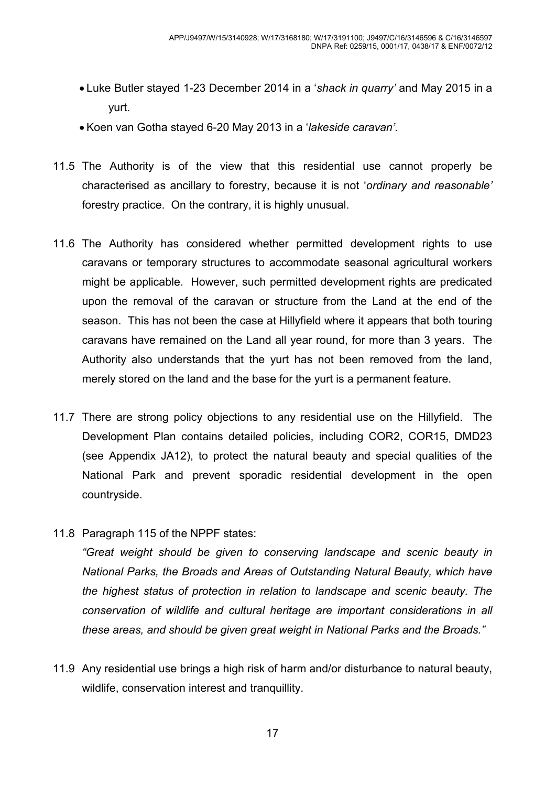- Luke Butler stayed 1-23 December 2014 in a '*shack in quarry'* and May 2015 in a yurt.
- Koen van Gotha stayed 6-20 May 2013 in a '*lakeside caravan'*.
- 11.5 The Authority is of the view that this residential use cannot properly be characterised as ancillary to forestry, because it is not '*ordinary and reasonable'*  forestry practice. On the contrary, it is highly unusual.
- 11.6 The Authority has considered whether permitted development rights to use caravans or temporary structures to accommodate seasonal agricultural workers might be applicable. However, such permitted development rights are predicated upon the removal of the caravan or structure from the Land at the end of the season. This has not been the case at Hillyfield where it appears that both touring caravans have remained on the Land all year round, for more than 3 years. The Authority also understands that the yurt has not been removed from the land, merely stored on the land and the base for the yurt is a permanent feature.
- 11.7 There are strong policy objections to any residential use on the Hillyfield. The Development Plan contains detailed policies, including COR2, COR15, DMD23 (see Appendix JA12), to protect the natural beauty and special qualities of the National Park and prevent sporadic residential development in the open countryside.
- 11.8 Paragraph 115 of the NPPF states:

 *"Great weight should be given to conserving landscape and scenic beauty in National Parks, the Broads and Areas of Outstanding Natural Beauty, which have the highest status of protection in relation to landscape and scenic beauty. The conservation of wildlife and cultural heritage are important considerations in all these areas, and should be given great weight in National Parks and the Broads."* 

11.9 Any residential use brings a high risk of harm and/or disturbance to natural beauty, wildlife, conservation interest and tranquillity.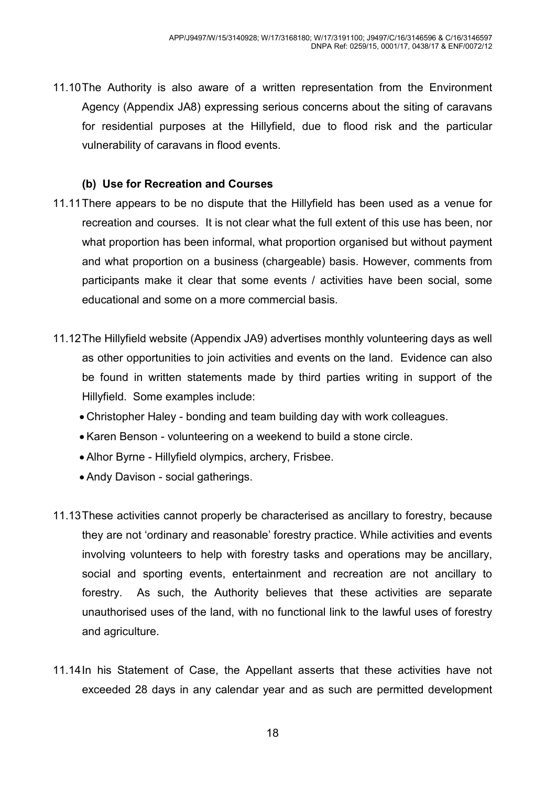11.10 The Authority is also aware of a written representation from the Environment Agency (Appendix JA8) expressing serious concerns about the siting of caravans for residential purposes at the Hillyfield, due to flood risk and the particular vulnerability of caravans in flood events.

#### **(b) Use for Recreation and Courses**

- 11.11 There appears to be no dispute that the Hillyfield has been used as a venue for recreation and courses. It is not clear what the full extent of this use has been, nor what proportion has been informal, what proportion organised but without payment and what proportion on a business (chargeable) basis. However, comments from participants make it clear that some events / activities have been social, some educational and some on a more commercial basis.
- 11.12 The Hillyfield website (Appendix JA9) advertises monthly volunteering days as well as other opportunities to join activities and events on the land. Evidence can also be found in written statements made by third parties writing in support of the Hillyfield. Some examples include:
	- Christopher Haley bonding and team building day with work colleagues.
	- Karen Benson volunteering on a weekend to build a stone circle.
	- Alhor Byrne Hillyfield olympics, archery, Frisbee.
	- Andy Davison social gatherings.
- 11.13 These activities cannot properly be characterised as ancillary to forestry, because they are not 'ordinary and reasonable' forestry practice. While activities and events involving volunteers to help with forestry tasks and operations may be ancillary, social and sporting events, entertainment and recreation are not ancillary to forestry. As such, the Authority believes that these activities are separate unauthorised uses of the land, with no functional link to the lawful uses of forestry and agriculture.
- 11.14 In his Statement of Case, the Appellant asserts that these activities have not exceeded 28 days in any calendar year and as such are permitted development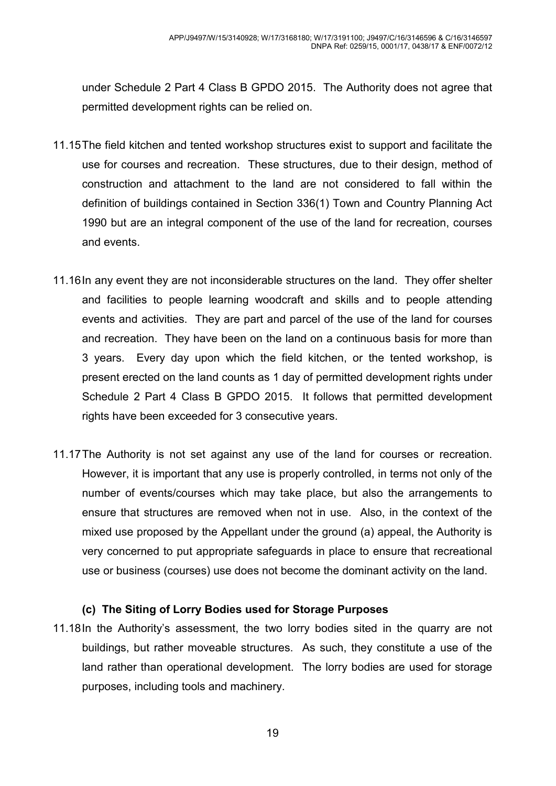under Schedule 2 Part 4 Class B GPDO 2015. The Authority does not agree that permitted development rights can be relied on.

- 11.15 The field kitchen and tented workshop structures exist to support and facilitate the use for courses and recreation. These structures, due to their design, method of construction and attachment to the land are not considered to fall within the definition of buildings contained in Section 336(1) Town and Country Planning Act 1990 but are an integral component of the use of the land for recreation, courses and events.
- 11.16 In any event they are not inconsiderable structures on the land. They offer shelter and facilities to people learning woodcraft and skills and to people attending events and activities. They are part and parcel of the use of the land for courses and recreation. They have been on the land on a continuous basis for more than 3 years. Every day upon which the field kitchen, or the tented workshop, is present erected on the land counts as 1 day of permitted development rights under Schedule 2 Part 4 Class B GPDO 2015. It follows that permitted development rights have been exceeded for 3 consecutive years.
- 11.17 The Authority is not set against any use of the land for courses or recreation. However, it is important that any use is properly controlled, in terms not only of the number of events/courses which may take place, but also the arrangements to ensure that structures are removed when not in use. Also, in the context of the mixed use proposed by the Appellant under the ground (a) appeal, the Authority is very concerned to put appropriate safeguards in place to ensure that recreational use or business (courses) use does not become the dominant activity on the land.

#### **(c) The Siting of Lorry Bodies used for Storage Purposes**

11.18 In the Authority's assessment, the two lorry bodies sited in the quarry are not buildings, but rather moveable structures. As such, they constitute a use of the land rather than operational development. The lorry bodies are used for storage purposes, including tools and machinery.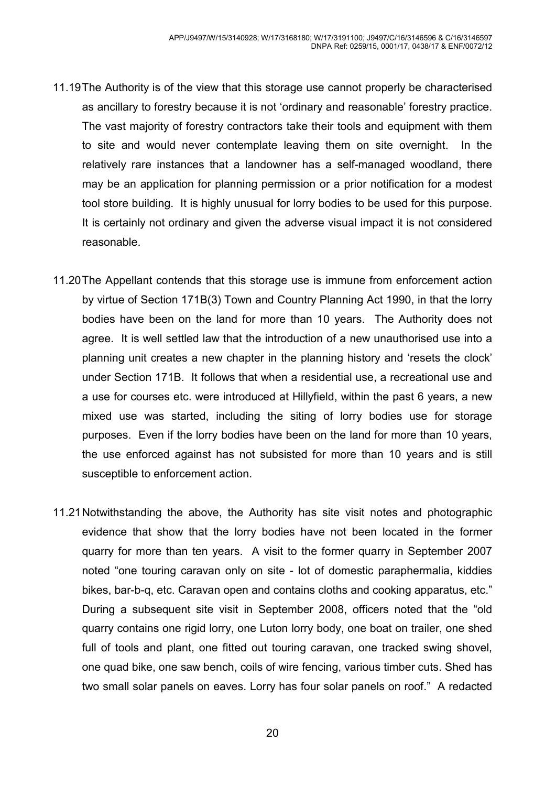- 11.19 The Authority is of the view that this storage use cannot properly be characterised as ancillary to forestry because it is not 'ordinary and reasonable' forestry practice. The vast majority of forestry contractors take their tools and equipment with them to site and would never contemplate leaving them on site overnight. In the relatively rare instances that a landowner has a self-managed woodland, there may be an application for planning permission or a prior notification for a modest tool store building. It is highly unusual for lorry bodies to be used for this purpose. It is certainly not ordinary and given the adverse visual impact it is not considered reasonable.
- 11.20 The Appellant contends that this storage use is immune from enforcement action by virtue of Section 171B(3) Town and Country Planning Act 1990, in that the lorry bodies have been on the land for more than 10 years. The Authority does not agree. It is well settled law that the introduction of a new unauthorised use into a planning unit creates a new chapter in the planning history and 'resets the clock' under Section 171B. It follows that when a residential use, a recreational use and a use for courses etc. were introduced at Hillyfield, within the past 6 years, a new mixed use was started, including the siting of lorry bodies use for storage purposes. Even if the lorry bodies have been on the land for more than 10 years, the use enforced against has not subsisted for more than 10 years and is still susceptible to enforcement action.
- 11.21 Notwithstanding the above, the Authority has site visit notes and photographic evidence that show that the lorry bodies have not been located in the former quarry for more than ten years. A visit to the former quarry in September 2007 noted "one touring caravan only on site - lot of domestic paraphermalia, kiddies bikes, bar-b-q, etc. Caravan open and contains cloths and cooking apparatus, etc." During a subsequent site visit in September 2008, officers noted that the "old quarry contains one rigid lorry, one Luton lorry body, one boat on trailer, one shed full of tools and plant, one fitted out touring caravan, one tracked swing shovel, one quad bike, one saw bench, coils of wire fencing, various timber cuts. Shed has two small solar panels on eaves. Lorry has four solar panels on roof." A redacted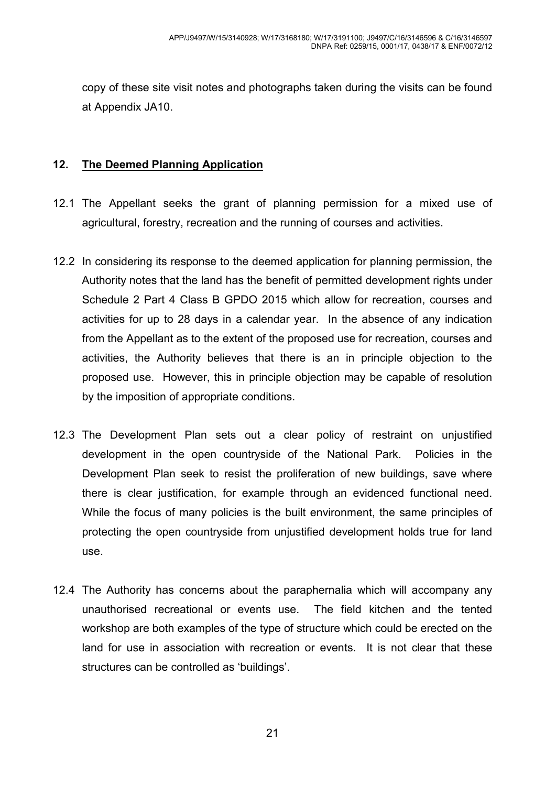copy of these site visit notes and photographs taken during the visits can be found at Appendix JA10.

#### **12. The Deemed Planning Application**

- 12.1 The Appellant seeks the grant of planning permission for a mixed use of agricultural, forestry, recreation and the running of courses and activities.
- 12.2 In considering its response to the deemed application for planning permission, the Authority notes that the land has the benefit of permitted development rights under Schedule 2 Part 4 Class B GPDO 2015 which allow for recreation, courses and activities for up to 28 days in a calendar year. In the absence of any indication from the Appellant as to the extent of the proposed use for recreation, courses and activities, the Authority believes that there is an in principle objection to the proposed use. However, this in principle objection may be capable of resolution by the imposition of appropriate conditions.
- 12.3 The Development Plan sets out a clear policy of restraint on unjustified development in the open countryside of the National Park. Policies in the Development Plan seek to resist the proliferation of new buildings, save where there is clear justification, for example through an evidenced functional need. While the focus of many policies is the built environment, the same principles of protecting the open countryside from unjustified development holds true for land use.
- 12.4 The Authority has concerns about the paraphernalia which will accompany any unauthorised recreational or events use. The field kitchen and the tented workshop are both examples of the type of structure which could be erected on the land for use in association with recreation or events. It is not clear that these structures can be controlled as 'buildings'.

21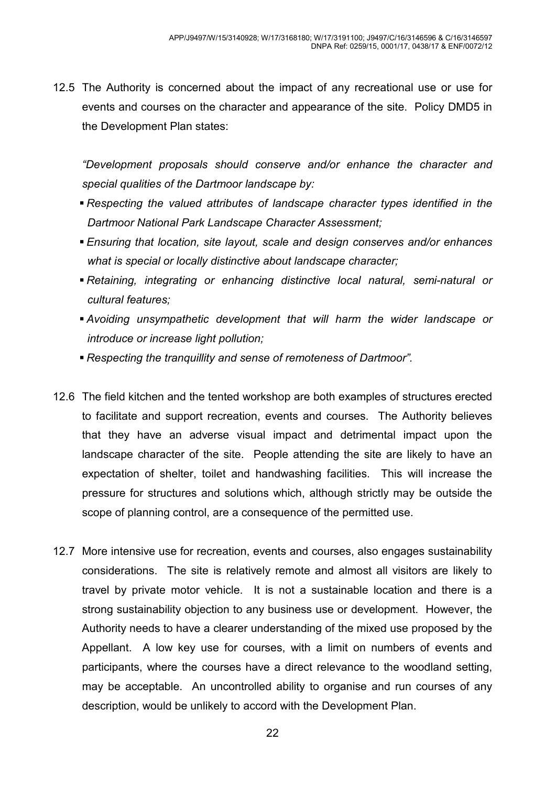12.5 The Authority is concerned about the impact of any recreational use or use for events and courses on the character and appearance of the site. Policy DMD5 in the Development Plan states:

*"Development proposals should conserve and/or enhance the character and special qualities of the Dartmoor landscape by:* 

- **Respecting the valued attributes of landscape character types identified in the** *Dartmoor National Park Landscape Character Assessment;*
- *Ensuring that location, site layout, scale and design conserves and/or enhances what is special or locally distinctive about landscape character;*
- *Retaining, integrating or enhancing distinctive local natural, semi-natural or cultural features;*
- *Avoiding unsympathetic development that will harm the wider landscape or introduce or increase light pollution;*
- *Respecting the tranquillity and sense of remoteness of Dartmoor".*
- 12.6 The field kitchen and the tented workshop are both examples of structures erected to facilitate and support recreation, events and courses. The Authority believes that they have an adverse visual impact and detrimental impact upon the landscape character of the site. People attending the site are likely to have an expectation of shelter, toilet and handwashing facilities. This will increase the pressure for structures and solutions which, although strictly may be outside the scope of planning control, are a consequence of the permitted use.
- 12.7 More intensive use for recreation, events and courses, also engages sustainability considerations. The site is relatively remote and almost all visitors are likely to travel by private motor vehicle. It is not a sustainable location and there is a strong sustainability objection to any business use or development. However, the Authority needs to have a clearer understanding of the mixed use proposed by the Appellant. A low key use for courses, with a limit on numbers of events and participants, where the courses have a direct relevance to the woodland setting, may be acceptable. An uncontrolled ability to organise and run courses of any description, would be unlikely to accord with the Development Plan.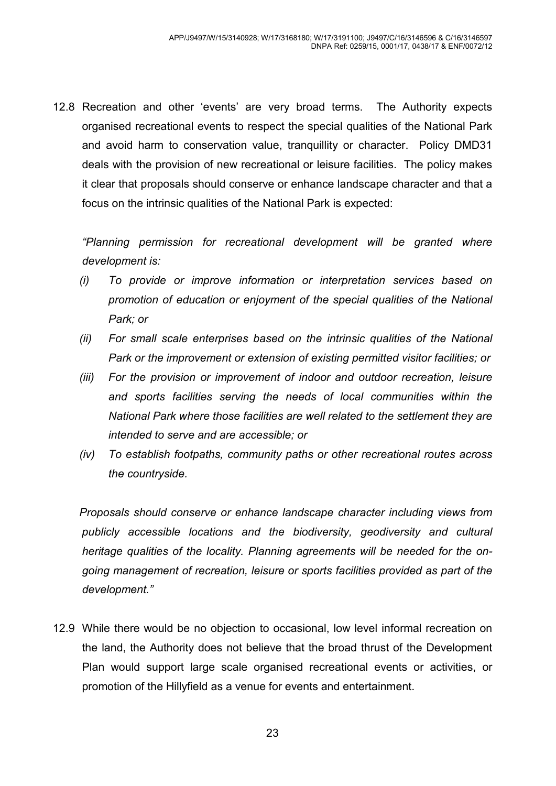12.8 Recreation and other 'events' are very broad terms. The Authority expects organised recreational events to respect the special qualities of the National Park and avoid harm to conservation value, tranquillity or character. Policy DMD31 deals with the provision of new recreational or leisure facilities. The policy makes it clear that proposals should conserve or enhance landscape character and that a focus on the intrinsic qualities of the National Park is expected:

*"Planning permission for recreational development will be granted where development is:* 

- *(i) To provide or improve information or interpretation services based on promotion of education or enjoyment of the special qualities of the National Park; or*
- *(ii) For small scale enterprises based on the intrinsic qualities of the National Park or the improvement or extension of existing permitted visitor facilities; or*
- *(iii) For the provision or improvement of indoor and outdoor recreation, leisure and sports facilities serving the needs of local communities within the National Park where those facilities are well related to the settlement they are intended to serve and are accessible; or*
- *(iv) To establish footpaths, community paths or other recreational routes across the countryside.*

*Proposals should conserve or enhance landscape character including views from publicly accessible locations and the biodiversity, geodiversity and cultural heritage qualities of the locality. Planning agreements will be needed for the ongoing management of recreation, leisure or sports facilities provided as part of the development."* 

12.9 While there would be no objection to occasional, low level informal recreation on the land, the Authority does not believe that the broad thrust of the Development Plan would support large scale organised recreational events or activities, or promotion of the Hillyfield as a venue for events and entertainment.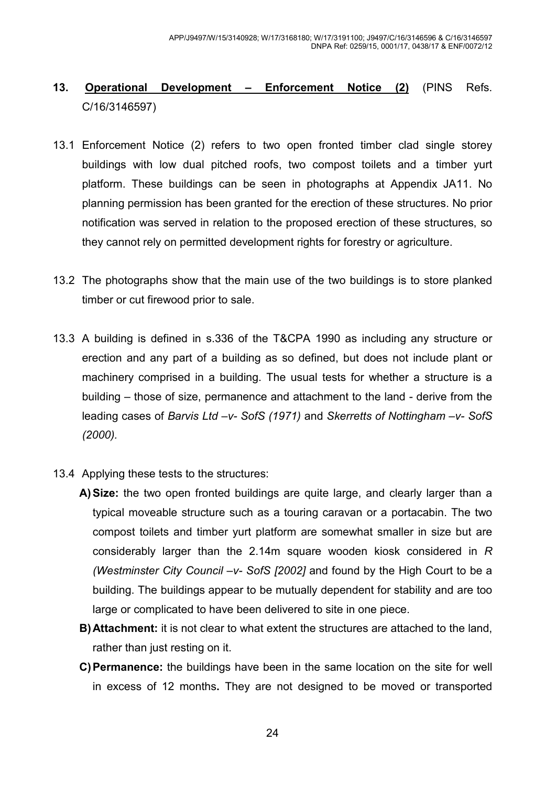# **13. Operational Development – Enforcement Notice (2)** (PINS Refs. C/16/3146597)

- 13.1 Enforcement Notice (2) refers to two open fronted timber clad single storey buildings with low dual pitched roofs, two compost toilets and a timber yurt platform. These buildings can be seen in photographs at Appendix JA11. No planning permission has been granted for the erection of these structures. No prior notification was served in relation to the proposed erection of these structures, so they cannot rely on permitted development rights for forestry or agriculture.
- 13.2 The photographs show that the main use of the two buildings is to store planked timber or cut firewood prior to sale.
- 13.3 A building is defined in s.336 of the T&CPA 1990 as including any structure or erection and any part of a building as so defined, but does not include plant or machinery comprised in a building. The usual tests for whether a structure is a building – those of size, permanence and attachment to the land - derive from the leading cases of *Barvis Ltd –v- SofS (1971)* and *Skerretts of Nottingham –v- SofS (2000).*
- 13.4 Applying these tests to the structures:
	- **A) Size:** the two open fronted buildings are quite large, and clearly larger than a typical moveable structure such as a touring caravan or a portacabin. The two compost toilets and timber yurt platform are somewhat smaller in size but are considerably larger than the 2.14m square wooden kiosk considered in *R (Westminster City Council –v- SofS [2002]* and found by the High Court to be a building. The buildings appear to be mutually dependent for stability and are too large or complicated to have been delivered to site in one piece.
	- **B) Attachment:** it is not clear to what extent the structures are attached to the land, rather than just resting on it.
	- **C) Permanence:** the buildings have been in the same location on the site for well in excess of 12 months**.** They are not designed to be moved or transported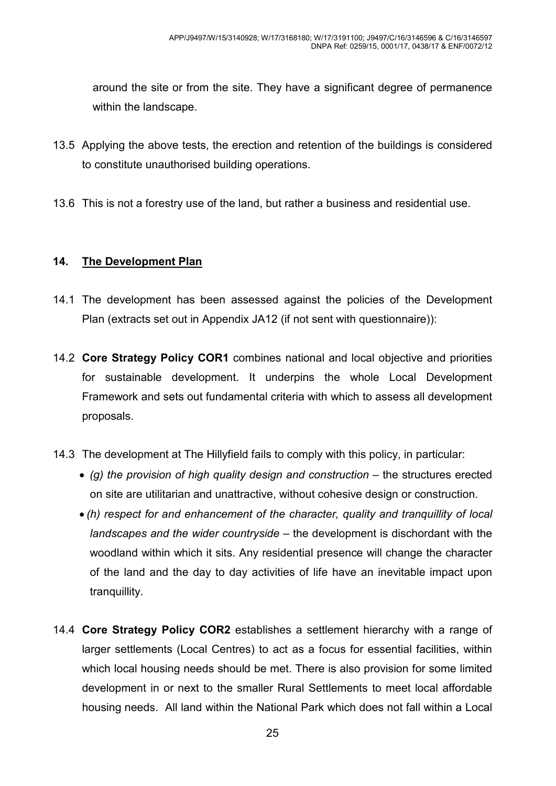around the site or from the site. They have a significant degree of permanence within the landscape.

- 13.5 Applying the above tests, the erection and retention of the buildings is considered to constitute unauthorised building operations.
- 13.6 This is not a forestry use of the land, but rather a business and residential use.

#### **14. The Development Plan**

- 14.1 The development has been assessed against the policies of the Development Plan (extracts set out in Appendix JA12 (if not sent with questionnaire)):
- 14.2 **Core Strategy Policy COR1** combines national and local objective and priorities for sustainable development. It underpins the whole Local Development Framework and sets out fundamental criteria with which to assess all development proposals.
- 14.3 The development at The Hillyfield fails to comply with this policy, in particular:
	- • *(g) the provision of high quality design and construction* the structures erected on site are utilitarian and unattractive, without cohesive design or construction.
	- *(h) respect for and enhancement of the character, quality and tranquillity of local landscapes and the wider countryside* – the development is dischordant with the woodland within which it sits. Any residential presence will change the character of the land and the day to day activities of life have an inevitable impact upon tranquillity.
- 14.4 **Core Strategy Policy COR2** establishes a settlement hierarchy with a range of larger settlements (Local Centres) to act as a focus for essential facilities, within which local housing needs should be met. There is also provision for some limited development in or next to the smaller Rural Settlements to meet local affordable housing needs. All land within the National Park which does not fall within a Local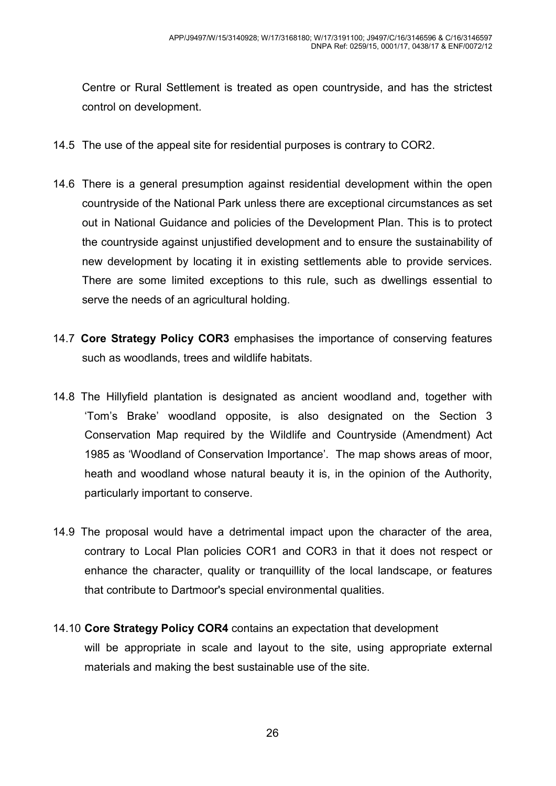Centre or Rural Settlement is treated as open countryside, and has the strictest control on development.

- 14.5 The use of the appeal site for residential purposes is contrary to COR2.
- 14.6 There is a general presumption against residential development within the open countryside of the National Park unless there are exceptional circumstances as set out in National Guidance and policies of the Development Plan. This is to protect the countryside against unjustified development and to ensure the sustainability of new development by locating it in existing settlements able to provide services. There are some limited exceptions to this rule, such as dwellings essential to serve the needs of an agricultural holding.
- 14.7 **Core Strategy Policy COR3** emphasises the importance of conserving features such as woodlands, trees and wildlife habitats.
- 14.8 The Hillyfield plantation is designated as ancient woodland and, together with 'Tom's Brake' woodland opposite, is also designated on the Section 3 Conservation Map required by the Wildlife and Countryside (Amendment) Act 1985 as 'Woodland of Conservation Importance'. The map shows areas of moor, heath and woodland whose natural beauty it is, in the opinion of the Authority, particularly important to conserve.
- 14.9 The proposal would have a detrimental impact upon the character of the area, contrary to Local Plan policies COR1 and COR3 in that it does not respect or enhance the character, quality or tranquillity of the local landscape, or features that contribute to Dartmoor's special environmental qualities.
- 14.10 **Core Strategy Policy COR4** contains an expectation that development will be appropriate in scale and layout to the site, using appropriate external materials and making the best sustainable use of the site.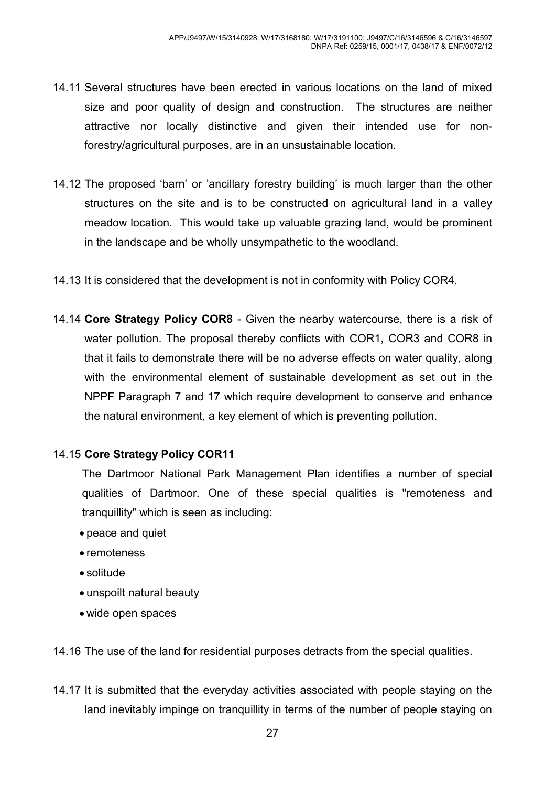- 14.11 Several structures have been erected in various locations on the land of mixed size and poor quality of design and construction. The structures are neither attractive nor locally distinctive and given their intended use for nonforestry/agricultural purposes, are in an unsustainable location.
- 14.12 The proposed 'barn' or 'ancillary forestry building' is much larger than the other structures on the site and is to be constructed on agricultural land in a valley meadow location. This would take up valuable grazing land, would be prominent in the landscape and be wholly unsympathetic to the woodland.
- 14.13 It is considered that the development is not in conformity with Policy COR4.
- 14.14 **Core Strategy Policy COR8**  Given the nearby watercourse, there is a risk of water pollution. The proposal thereby conflicts with COR1, COR3 and COR8 in that it fails to demonstrate there will be no adverse effects on water quality, along with the environmental element of sustainable development as set out in the NPPF Paragraph 7 and 17 which require development to conserve and enhance the natural environment, a key element of which is preventing pollution.

#### 14.15 **Core Strategy Policy COR11**

 The Dartmoor National Park Management Plan identifies a number of special qualities of Dartmoor. One of these special qualities is "remoteness and tranquillity" which is seen as including:

- peace and quiet
- remoteness
- solitude
- unspoilt natural beauty
- wide open spaces

14.16 The use of the land for residential purposes detracts from the special qualities.

14.17 It is submitted that the everyday activities associated with people staying on the land inevitably impinge on tranquillity in terms of the number of people staying on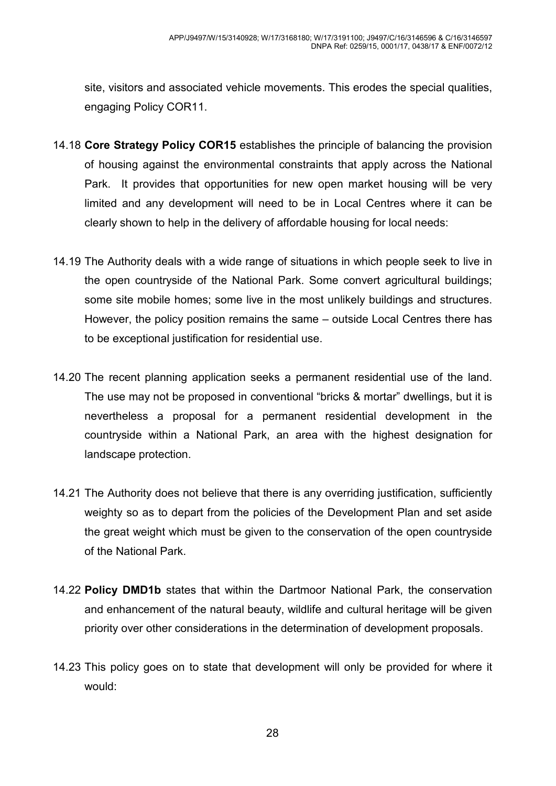site, visitors and associated vehicle movements. This erodes the special qualities, engaging Policy COR11.

- 14.18 **Core Strategy Policy COR15** establishes the principle of balancing the provision of housing against the environmental constraints that apply across the National Park. It provides that opportunities for new open market housing will be very limited and any development will need to be in Local Centres where it can be clearly shown to help in the delivery of affordable housing for local needs:
- 14.19 The Authority deals with a wide range of situations in which people seek to live in the open countryside of the National Park. Some convert agricultural buildings; some site mobile homes; some live in the most unlikely buildings and structures. However, the policy position remains the same – outside Local Centres there has to be exceptional justification for residential use.
- 14.20 The recent planning application seeks a permanent residential use of the land. The use may not be proposed in conventional "bricks & mortar" dwellings, but it is nevertheless a proposal for a permanent residential development in the countryside within a National Park, an area with the highest designation for landscape protection.
- 14.21 The Authority does not believe that there is any overriding justification, sufficiently weighty so as to depart from the policies of the Development Plan and set aside the great weight which must be given to the conservation of the open countryside of the National Park.
- 14.22 **Policy DMD1b** states that within the Dartmoor National Park, the conservation and enhancement of the natural beauty, wildlife and cultural heritage will be given priority over other considerations in the determination of development proposals.
- 14.23 This policy goes on to state that development will only be provided for where it would: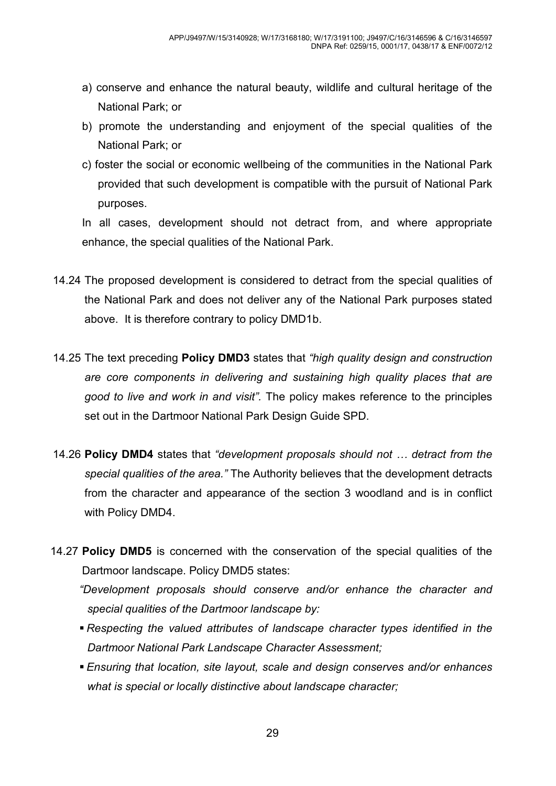- a) conserve and enhance the natural beauty, wildlife and cultural heritage of the National Park; or
- b) promote the understanding and enjoyment of the special qualities of the National Park; or
- c) foster the social or economic wellbeing of the communities in the National Park provided that such development is compatible with the pursuit of National Park purposes.

In all cases, development should not detract from, and where appropriate enhance, the special qualities of the National Park.

- 14.24 The proposed development is considered to detract from the special qualities of the National Park and does not deliver any of the National Park purposes stated above. It is therefore contrary to policy DMD1b.
- 14.25 The text preceding **Policy DMD3** states that *"high quality design and construction are core components in delivering and sustaining high quality places that are good to live and work in and visit".* The policy makes reference to the principles set out in the Dartmoor National Park Design Guide SPD.
- 14.26 **Policy DMD4** states that *"development proposals should not / detract from the special qualities of the area."* The Authority believes that the development detracts from the character and appearance of the section 3 woodland and is in conflict with Policy DMD4.

14.27 **Policy DMD5** is concerned with the conservation of the special qualities of the Dartmoor landscape. Policy DMD5 states:

*"Development proposals should conserve and/or enhance the character and special qualities of the Dartmoor landscape by:* 

- *Respecting the valued attributes of landscape character types identified in the Dartmoor National Park Landscape Character Assessment;*
- *Ensuring that location, site layout, scale and design conserves and/or enhances what is special or locally distinctive about landscape character;*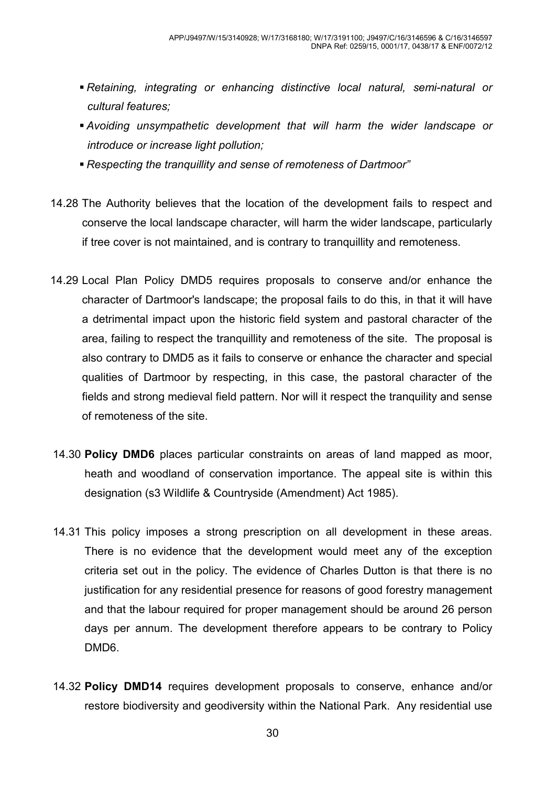- *Retaining, integrating or enhancing distinctive local natural, semi-natural or cultural features;*
- *Avoiding unsympathetic development that will harm the wider landscape or introduce or increase light pollution;*
- *Respecting the tranquillity and sense of remoteness of Dartmoor"*
- 14.28 The Authority believes that the location of the development fails to respect and conserve the local landscape character, will harm the wider landscape, particularly if tree cover is not maintained, and is contrary to tranquillity and remoteness.
- 14.29 Local Plan Policy DMD5 requires proposals to conserve and/or enhance the character of Dartmoor's landscape; the proposal fails to do this, in that it will have a detrimental impact upon the historic field system and pastoral character of the area, failing to respect the tranquillity and remoteness of the site. The proposal is also contrary to DMD5 as it fails to conserve or enhance the character and special qualities of Dartmoor by respecting, in this case, the pastoral character of the fields and strong medieval field pattern. Nor will it respect the tranquility and sense of remoteness of the site.
- 14.30 **Policy DMD6** places particular constraints on areas of land mapped as moor, heath and woodland of conservation importance. The appeal site is within this designation (s3 Wildlife & Countryside (Amendment) Act 1985).
- 14.31 This policy imposes a strong prescription on all development in these areas. There is no evidence that the development would meet any of the exception criteria set out in the policy. The evidence of Charles Dutton is that there is no justification for any residential presence for reasons of good forestry management and that the labour required for proper management should be around 26 person days per annum. The development therefore appears to be contrary to Policy DMD6.
- 14.32 **Policy DMD14** requires development proposals to conserve, enhance and/or restore biodiversity and geodiversity within the National Park. Any residential use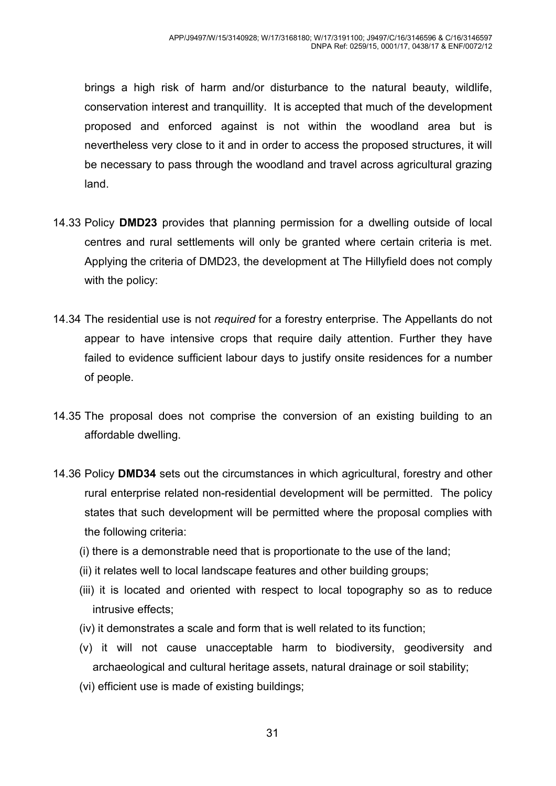brings a high risk of harm and/or disturbance to the natural beauty, wildlife, conservation interest and tranquillity. It is accepted that much of the development proposed and enforced against is not within the woodland area but is nevertheless very close to it and in order to access the proposed structures, it will be necessary to pass through the woodland and travel across agricultural grazing land.

- 14.33 Policy **DMD23** provides that planning permission for a dwelling outside of local centres and rural settlements will only be granted where certain criteria is met. Applying the criteria of DMD23, the development at The Hillyfield does not comply with the policy:
- 14.34 The residential use is not *required* for a forestry enterprise. The Appellants do not appear to have intensive crops that require daily attention. Further they have failed to evidence sufficient labour days to justify onsite residences for a number of people.
- 14.35 The proposal does not comprise the conversion of an existing building to an affordable dwelling.
- 14.36 Policy **DMD34** sets out the circumstances in which agricultural, forestry and other rural enterprise related non-residential development will be permitted. The policy states that such development will be permitted where the proposal complies with the following criteria:
	- (i) there is a demonstrable need that is proportionate to the use of the land;
	- (ii) it relates well to local landscape features and other building groups;
	- (iii) it is located and oriented with respect to local topography so as to reduce intrusive effects;
	- (iv) it demonstrates a scale and form that is well related to its function;
	- (v) it will not cause unacceptable harm to biodiversity, geodiversity and archaeological and cultural heritage assets, natural drainage or soil stability;
	- (vi) efficient use is made of existing buildings;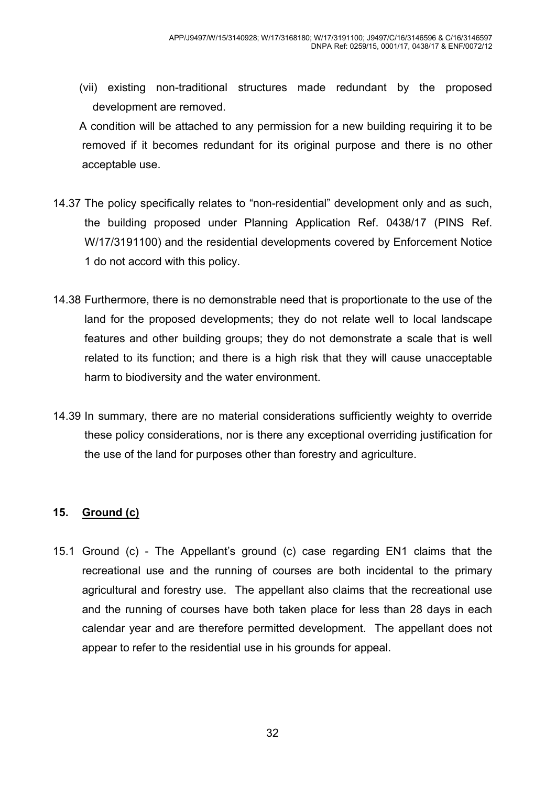(vii) existing non-traditional structures made redundant by the proposed development are removed.

A condition will be attached to any permission for a new building requiring it to be removed if it becomes redundant for its original purpose and there is no other acceptable use.

- 14.37 The policy specifically relates to "non-residential" development only and as such, the building proposed under Planning Application Ref. 0438/17 (PINS Ref. W/17/3191100) and the residential developments covered by Enforcement Notice 1 do not accord with this policy.
- 14.38 Furthermore, there is no demonstrable need that is proportionate to the use of the land for the proposed developments; they do not relate well to local landscape features and other building groups; they do not demonstrate a scale that is well related to its function; and there is a high risk that they will cause unacceptable harm to biodiversity and the water environment.
- 14.39 In summary, there are no material considerations sufficiently weighty to override these policy considerations, nor is there any exceptional overriding justification for the use of the land for purposes other than forestry and agriculture.

#### **15. Ground (c)**

15.1 Ground (c) - The Appellant's ground (c) case regarding EN1 claims that the recreational use and the running of courses are both incidental to the primary agricultural and forestry use. The appellant also claims that the recreational use and the running of courses have both taken place for less than 28 days in each calendar year and are therefore permitted development. The appellant does not appear to refer to the residential use in his grounds for appeal.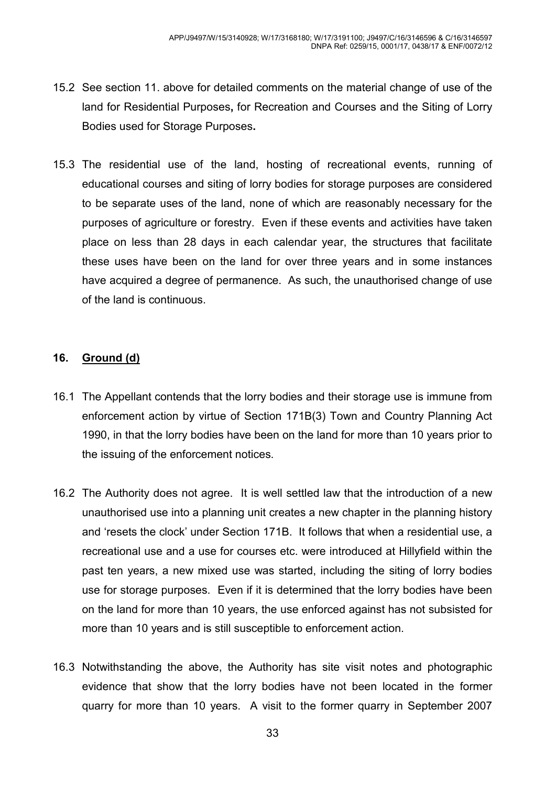- 15.2 See section 11. above for detailed comments on the material change of use of the land for Residential Purposes**,** for Recreation and Courses and the Siting of Lorry Bodies used for Storage Purposes**.**
- 15.3 The residential use of the land, hosting of recreational events, running of educational courses and siting of lorry bodies for storage purposes are considered to be separate uses of the land, none of which are reasonably necessary for the purposes of agriculture or forestry. Even if these events and activities have taken place on less than 28 days in each calendar year, the structures that facilitate these uses have been on the land for over three years and in some instances have acquired a degree of permanence. As such, the unauthorised change of use of the land is continuous.

#### **16. Ground (d)**

- 16.1 The Appellant contends that the lorry bodies and their storage use is immune from enforcement action by virtue of Section 171B(3) Town and Country Planning Act 1990, in that the lorry bodies have been on the land for more than 10 years prior to the issuing of the enforcement notices.
- 16.2 The Authority does not agree. It is well settled law that the introduction of a new unauthorised use into a planning unit creates a new chapter in the planning history and 'resets the clock' under Section 171B. It follows that when a residential use, a recreational use and a use for courses etc. were introduced at Hillyfield within the past ten years, a new mixed use was started, including the siting of lorry bodies use for storage purposes. Even if it is determined that the lorry bodies have been on the land for more than 10 years, the use enforced against has not subsisted for more than 10 years and is still susceptible to enforcement action.
- 16.3 Notwithstanding the above, the Authority has site visit notes and photographic evidence that show that the lorry bodies have not been located in the former quarry for more than 10 years. A visit to the former quarry in September 2007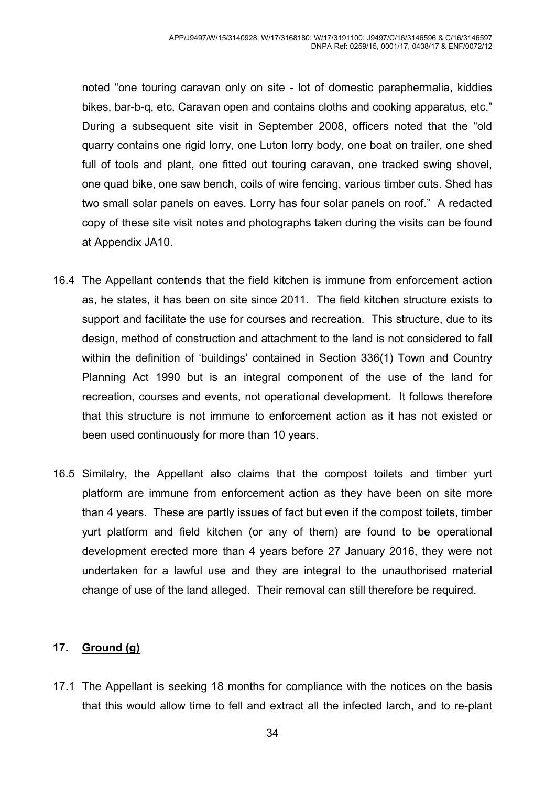noted "one touring caravan only on site - lot of domestic paraphermalia, kiddies bikes, bar-b-q, etc. Caravan open and contains cloths and cooking apparatus, etc." During a subsequent site visit in September 2008, officers noted that the "old quarry contains one rigid lorry, one Luton lorry body, one boat on trailer, one shed full of tools and plant, one fitted out touring caravan, one tracked swing shovel, one quad bike, one saw bench, coils of wire fencing, various timber cuts. Shed has two small solar panels on eaves. Lorry has four solar panels on roof." A redacted copy of these site visit notes and photographs taken during the visits can be found at Appendix JA10.

- 16.4 The Appellant contends that the field kitchen is immune from enforcement action as, he states, it has been on site since 2011. The field kitchen structure exists to support and facilitate the use for courses and recreation. This structure, due to its design, method of construction and attachment to the land is not considered to fall within the definition of 'buildings' contained in Section 336(1) Town and Country Planning Act 1990 but is an integral component of the use of the land for recreation, courses and events, not operational development. It follows therefore that this structure is not immune to enforcement action as it has not existed or been used continuously for more than 10 years.
- 16.5 Similalry, the Appellant also claims that the compost toilets and timber yurt platform are immune from enforcement action as they have been on site more than 4 years. These are partly issues of fact but even if the compost toilets, timber yurt platform and field kitchen (or any of them) are found to be operational development erected more than 4 years before 27 January 2016, they were not undertaken for a lawful use and they are integral to the unauthorised material change of use of the land alleged. Their removal can still therefore be required.

#### **17. Ground (g)**

17.1 The Appellant is seeking 18 months for compliance with the notices on the basis that this would allow time to fell and extract all the infected larch, and to re-plant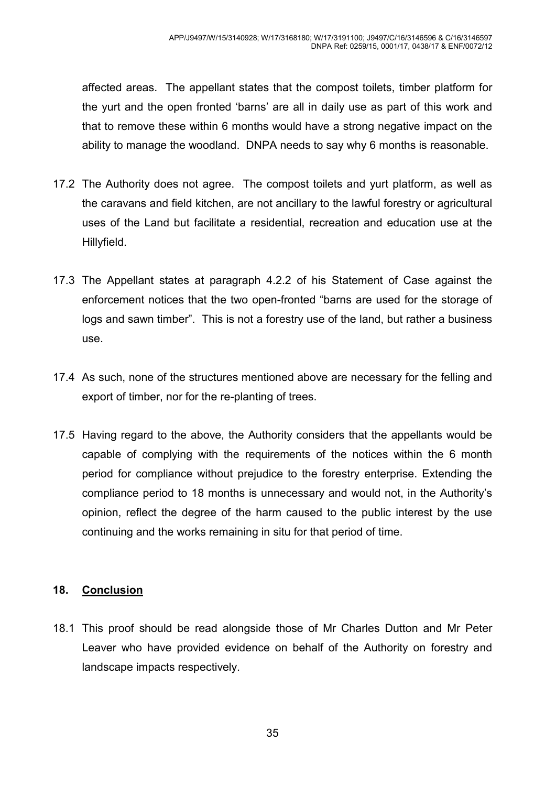affected areas. The appellant states that the compost toilets, timber platform for the yurt and the open fronted 'barns' are all in daily use as part of this work and that to remove these within 6 months would have a strong negative impact on the ability to manage the woodland. DNPA needs to say why 6 months is reasonable.

- 17.2 The Authority does not agree. The compost toilets and yurt platform, as well as the caravans and field kitchen, are not ancillary to the lawful forestry or agricultural uses of the Land but facilitate a residential, recreation and education use at the Hillyfield.
- 17.3 The Appellant states at paragraph 4.2.2 of his Statement of Case against the enforcement notices that the two open-fronted "barns are used for the storage of logs and sawn timber". This is not a forestry use of the land, but rather a business use.
- 17.4 As such, none of the structures mentioned above are necessary for the felling and export of timber, nor for the re-planting of trees.
- 17.5 Having regard to the above, the Authority considers that the appellants would be capable of complying with the requirements of the notices within the 6 month period for compliance without prejudice to the forestry enterprise. Extending the compliance period to 18 months is unnecessary and would not, in the Authority's opinion, reflect the degree of the harm caused to the public interest by the use continuing and the works remaining in situ for that period of time.

#### **18. Conclusion**

18.1 This proof should be read alongside those of Mr Charles Dutton and Mr Peter Leaver who have provided evidence on behalf of the Authority on forestry and landscape impacts respectively.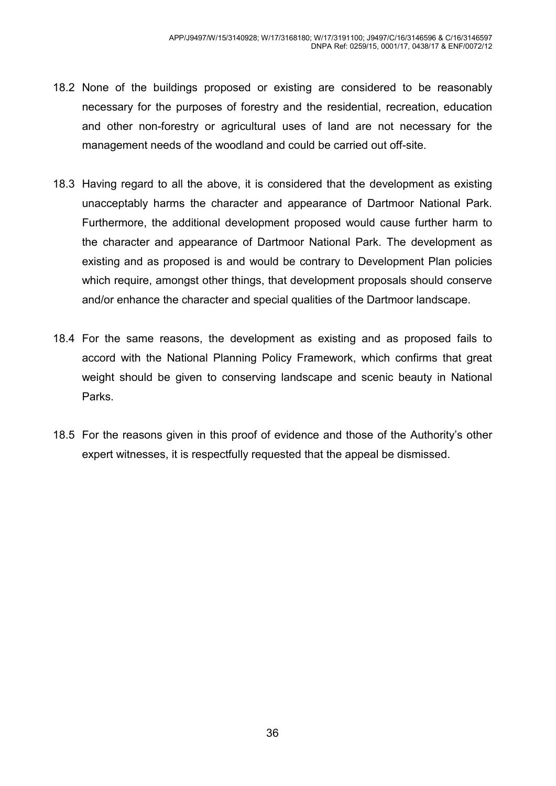- 18.2 None of the buildings proposed or existing are considered to be reasonably necessary for the purposes of forestry and the residential, recreation, education and other non-forestry or agricultural uses of land are not necessary for the management needs of the woodland and could be carried out off-site.
- 18.3 Having regard to all the above, it is considered that the development as existing unacceptably harms the character and appearance of Dartmoor National Park. Furthermore, the additional development proposed would cause further harm to the character and appearance of Dartmoor National Park. The development as existing and as proposed is and would be contrary to Development Plan policies which require, amongst other things, that development proposals should conserve and/or enhance the character and special qualities of the Dartmoor landscape.
- 18.4 For the same reasons, the development as existing and as proposed fails to accord with the National Planning Policy Framework, which confirms that great weight should be given to conserving landscape and scenic beauty in National Parks.
- 18.5 For the reasons given in this proof of evidence and those of the Authority's other expert witnesses, it is respectfully requested that the appeal be dismissed.